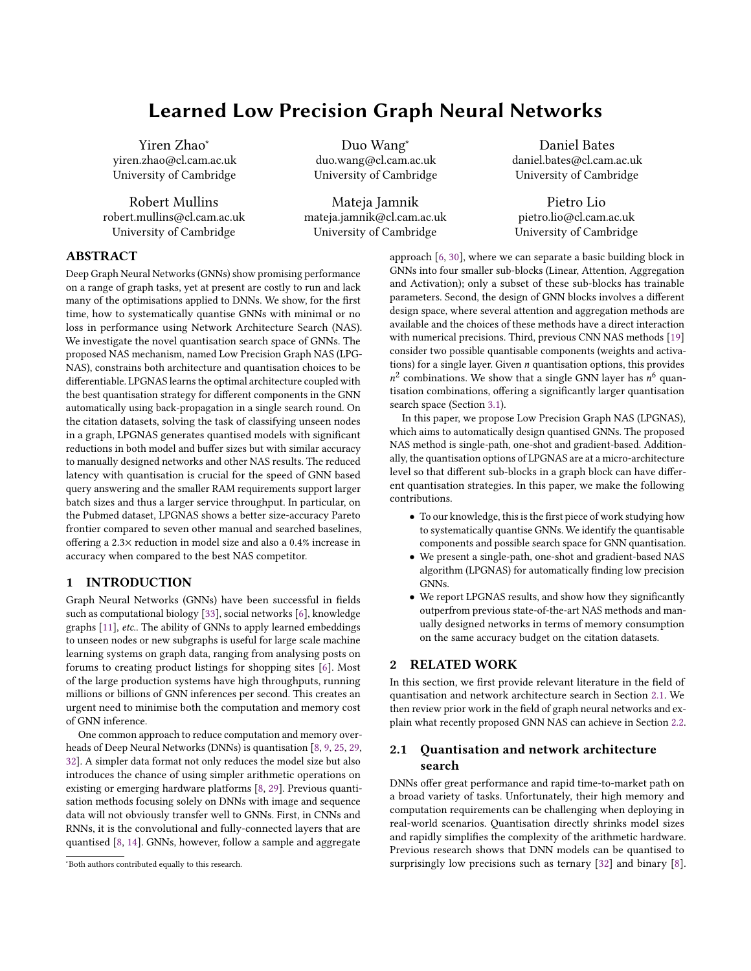# Learned Low Precision Graph Neural Networks

Yiren Zhao<sup>∗</sup> yiren.zhao@cl.cam.ac.uk University of Cambridge

Robert Mullins robert.mullins@cl.cam.ac.uk University of Cambridge

Duo Wang<sup>∗</sup> duo.wang@cl.cam.ac.uk University of Cambridge

Mateja Jamnik mateja.jamnik@cl.cam.ac.uk University of Cambridge

Daniel Bates daniel.bates@cl.cam.ac.uk University of Cambridge

Pietro Lio pietro.lio@cl.cam.ac.uk University of Cambridge

# ABSTRACT

Deep Graph Neural Networks (GNNs) show promising performance on a range of graph tasks, yet at present are costly to run and lack many of the optimisations applied to DNNs. We show, for the first time, how to systematically quantise GNNs with minimal or no loss in performance using Network Architecture Search (NAS). We investigate the novel quantisation search space of GNNs. The proposed NAS mechanism, named Low Precision Graph NAS (LPG-NAS), constrains both architecture and quantisation choices to be differentiable. LPGNAS learns the optimal architecture coupled with the best quantisation strategy for different components in the GNN automatically using back-propagation in a single search round. On the citation datasets, solving the task of classifying unseen nodes in a graph, LPGNAS generates quantised models with significant reductions in both model and buffer sizes but with similar accuracy to manually designed networks and other NAS results. The reduced latency with quantisation is crucial for the speed of GNN based query answering and the smaller RAM requirements support larger batch sizes and thus a larger service throughput. In particular, on the Pubmed dataset, LPGNAS shows a better size-accuracy Pareto frontier compared to seven other manual and searched baselines, offering a 2.3× reduction in model size and also a 0.4% increase in accuracy when compared to the best NAS competitor.

# 1 INTRODUCTION

Graph Neural Networks (GNNs) have been successful in fields such as computational biology [\[33\]](#page-6-0), social networks [\[6\]](#page-5-0), knowledge graphs [\[11\]](#page-6-1), etc.. The ability of GNNs to apply learned embeddings to unseen nodes or new subgraphs is useful for large scale machine learning systems on graph data, ranging from analysing posts on forums to creating product listings for shopping sites [\[6\]](#page-5-0). Most of the large production systems have high throughputs, running millions or billions of GNN inferences per second. This creates an urgent need to minimise both the computation and memory cost of GNN inference.

One common approach to reduce computation and memory overheads of Deep Neural Networks (DNNs) is quantisation [\[8,](#page-6-2) [9,](#page-6-3) [25,](#page-6-4) [29,](#page-6-5) [32\]](#page-6-6). A simpler data format not only reduces the model size but also introduces the chance of using simpler arithmetic operations on existing or emerging hardware platforms [\[8,](#page-6-2) [29\]](#page-6-5). Previous quantisation methods focusing solely on DNNs with image and sequence data will not obviously transfer well to GNNs. First, in CNNs and RNNs, it is the convolutional and fully-connected layers that are quantised [\[8,](#page-6-2) [14\]](#page-6-7). GNNs, however, follow a sample and aggregate

approach [\[6,](#page-5-0) [30\]](#page-6-8), where we can separate a basic building block in GNNs into four smaller sub-blocks (Linear, Attention, Aggregation and Activation); only a subset of these sub-blocks has trainable parameters. Second, the design of GNN blocks involves a different design space, where several attention and aggregation methods are available and the choices of these methods have a direct interaction with numerical precisions. Third, previous CNN NAS methods [\[19\]](#page-6-9) consider two possible quantisable components (weights and activations) for a single layer. Given  $n$  quantisation options, this provides  $n^2$  combinations. We show that a single GNN layer has  $n^6$  quantisation combinations, offering a significantly larger quantisation search space (Section [3.1\)](#page-1-0).

In this paper, we propose Low Precision Graph NAS (LPGNAS), which aims to automatically design quantised GNNs. The proposed NAS method is single-path, one-shot and gradient-based. Additionally, the quantisation options of LPGNAS are at a micro-architecture level so that different sub-blocks in a graph block can have different quantisation strategies. In this paper, we make the following contributions.

- To our knowledge, this is the first piece of work studying how to systematically quantise GNNs. We identify the quantisable components and possible search space for GNN quantisation.
- We present a single-path, one-shot and gradient-based NAS algorithm (LPGNAS) for automatically finding low precision GNNs.
- We report LPGNAS results, and show how they significantly outperfrom previous state-of-the-art NAS methods and manually designed networks in terms of memory consumption on the same accuracy budget on the citation datasets.

# 2 RELATED WORK

In this section, we first provide relevant literature in the field of quantisation and network architecture search in Section [2.1.](#page-0-0) We then review prior work in the field of graph neural networks and explain what recently proposed GNN NAS can achieve in Section [2.2.](#page-1-1)

# <span id="page-0-0"></span>2.1 Quantisation and network architecture search

DNNs offer great performance and rapid time-to-market path on a broad variety of tasks. Unfortunately, their high memory and computation requirements can be challenging when deploying in real-world scenarios. Quantisation directly shrinks model sizes and rapidly simplifies the complexity of the arithmetic hardware. Previous research shows that DNN models can be quantised to surprisingly low precisions such as ternary [\[32\]](#page-6-6) and binary [\[8\]](#page-6-2).

<sup>∗</sup>Both authors contributed equally to this research.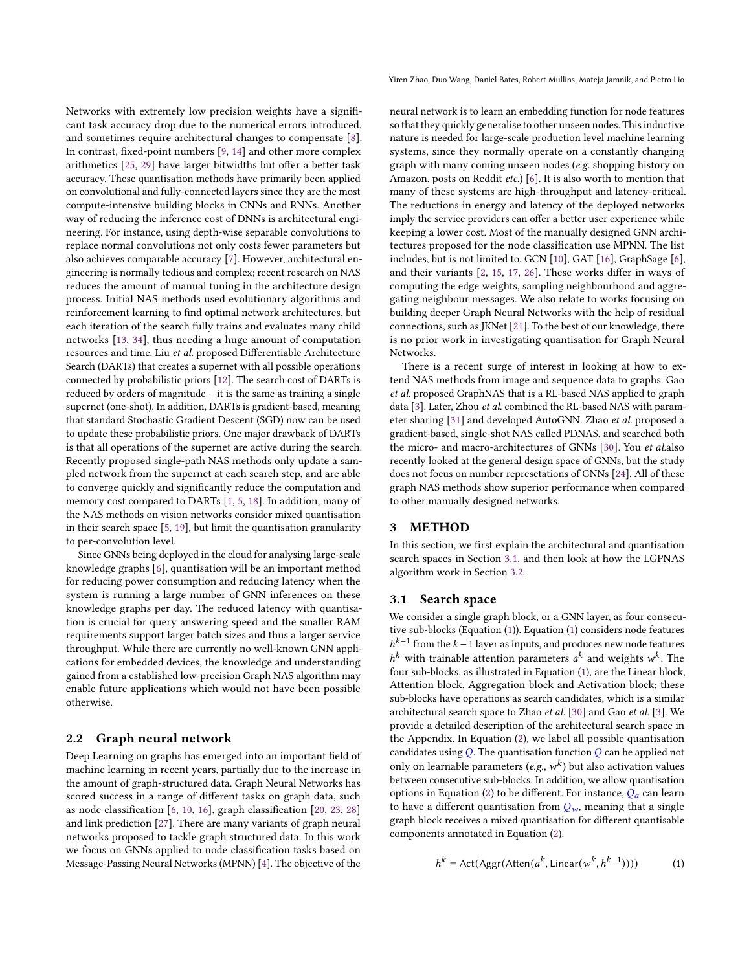Networks with extremely low precision weights have a significant task accuracy drop due to the numerical errors introduced, and sometimes require architectural changes to compensate [\[8\]](#page-6-2). In contrast, fixed-point numbers [\[9,](#page-6-3) [14\]](#page-6-7) and other more complex arithmetics [\[25,](#page-6-4) [29\]](#page-6-5) have larger bitwidths but offer a better task accuracy. These quantisation methods have primarily been applied on convolutional and fully-connected layers since they are the most compute-intensive building blocks in CNNs and RNNs. Another way of reducing the inference cost of DNNs is architectural engineering. For instance, using depth-wise separable convolutions to replace normal convolutions not only costs fewer parameters but also achieves comparable accuracy [\[7\]](#page-5-1). However, architectural engineering is normally tedious and complex; recent research on NAS reduces the amount of manual tuning in the architecture design process. Initial NAS methods used evolutionary algorithms and reinforcement learning to find optimal network architectures, but each iteration of the search fully trains and evaluates many child networks [\[13,](#page-6-10) [34\]](#page-6-11), thus needing a huge amount of computation resources and time. Liu et al. proposed Differentiable Architecture Search (DARTs) that creates a supernet with all possible operations connected by probabilistic priors [\[12\]](#page-6-12). The search cost of DARTs is reduced by orders of magnitude – it is the same as training a single supernet (one-shot). In addition, DARTs is gradient-based, meaning that standard Stochastic Gradient Descent (SGD) now can be used to update these probabilistic priors. One major drawback of DARTs is that all operations of the supernet are active during the search. Recently proposed single-path NAS methods only update a sampled network from the supernet at each search step, and are able to converge quickly and significantly reduce the computation and memory cost compared to DARTs [\[1,](#page-5-2) [5,](#page-5-3) [18\]](#page-6-13). In addition, many of the NAS methods on vision networks consider mixed quantisation in their search space [\[5,](#page-5-3) [19\]](#page-6-9), but limit the quantisation granularity to per-convolution level.

Since GNNs being deployed in the cloud for analysing large-scale knowledge graphs [\[6\]](#page-5-0), quantisation will be an important method for reducing power consumption and reducing latency when the system is running a large number of GNN inferences on these knowledge graphs per day. The reduced latency with quantisation is crucial for query answering speed and the smaller RAM requirements support larger batch sizes and thus a larger service throughput. While there are currently no well-known GNN applications for embedded devices, the knowledge and understanding gained from a established low-precision Graph NAS algorithm may enable future applications which would not have been possible otherwise.

## <span id="page-1-1"></span>2.2 Graph neural network

Deep Learning on graphs has emerged into an important field of machine learning in recent years, partially due to the increase in the amount of graph-structured data. Graph Neural Networks has scored success in a range of different tasks on graph data, such as node classification [\[6,](#page-5-0) [10,](#page-6-14) [16\]](#page-6-15), graph classification [\[20,](#page-6-16) [23,](#page-6-17) [28\]](#page-6-18) and link prediction [\[27\]](#page-6-19). There are many variants of graph neural networks proposed to tackle graph structured data. In this work we focus on GNNs applied to node classification tasks based on Message-Passing Neural Networks (MPNN) [\[4\]](#page-5-4). The objective of the Yiren Zhao, Duo Wang, Daniel Bates, Robert Mullins, Mateja Jamnik, and Pietro Lio

neural network is to learn an embedding function for node features so that they quickly generalise to other unseen nodes. This inductive nature is needed for large-scale production level machine learning systems, since they normally operate on a constantly changing graph with many coming unseen nodes (e.g. shopping history on Amazon, posts on Reddit etc.) [\[6\]](#page-5-0). It is also worth to mention that many of these systems are high-throughput and latency-critical. The reductions in energy and latency of the deployed networks imply the service providers can offer a better user experience while keeping a lower cost. Most of the manually designed GNN architectures proposed for the node classification use MPNN. The list includes, but is not limited to, GCN [\[10\]](#page-6-14), GAT [\[16\]](#page-6-15), GraphSage [\[6\]](#page-5-0), and their variants [\[2,](#page-5-5) [15,](#page-6-20) [17,](#page-6-21) [26\]](#page-6-22). These works differ in ways of computing the edge weights, sampling neighbourhood and aggregating neighbour messages. We also relate to works focusing on building deeper Graph Neural Networks with the help of residual connections, such as JKNet [\[21\]](#page-6-23). To the best of our knowledge, there is no prior work in investigating quantisation for Graph Neural Networks.

There is a recent surge of interest in looking at how to extend NAS methods from image and sequence data to graphs. Gao et al. proposed GraphNAS that is a RL-based NAS applied to graph data [\[3\]](#page-5-6). Later, Zhou et al. combined the RL-based NAS with parameter sharing [\[31\]](#page-6-24) and developed AutoGNN. Zhao et al. proposed a gradient-based, single-shot NAS called PDNAS, and searched both the micro- and macro-architectures of GNNs [\[30\]](#page-6-8). You et al.also recently looked at the general design space of GNNs, but the study does not focus on number represetations of GNNs [\[24\]](#page-6-25). All of these graph NAS methods show superior performance when compared to other manually designed networks.

# 3 METHOD

In this section, we first explain the architectural and quantisation search spaces in Section [3.1,](#page-1-0) and then look at how the LGPNAS algorithm work in Section [3.2.](#page-2-0)

#### <span id="page-1-0"></span>3.1 Search space

We consider a single graph block, or a GNN layer, as four consecutive sub-blocks (Equation [\(1\)](#page-1-2)). Equation [\(1\)](#page-1-2) considers node features  $h^{k-1}$  from the  $k-1$  layer as inputs, and produces new node features  $h^k$  with trainable attention parameters  $a^k$  and weights  $w^k$ . The four sub-blocks, as illustrated in Equation [\(1\)](#page-1-2), are the Linear block, Attention block, Aggregation block and Activation block; these sub-blocks have operations as search candidates, which is a similar architectural search space to Zhao et al. [\[30\]](#page-6-8) and Gao et al. [\[3\]](#page-5-6). We provide a detailed description of the architectural search space in the Appendix. In Equation [\(2\)](#page-2-1), we label all possible quantisation candidates using  $Q$ . The quantisation function  $Q$  can be applied not only on learnable parameters (e.g.,  $w^k$ ) but also activation values between consecutive sub-blocks. In addition, we allow quantisation options in Equation [\(2\)](#page-2-1) to be different. For instance,  $Q_a$  can learn to have a different quantisation from  $Q_w$ , meaning that a single graph block receives a mixed quantisation for different quantisable components annotated in Equation [\(2\)](#page-2-1).

<span id="page-1-2"></span>
$$
h^{k} = \text{Act}(\text{Aggr}(\text{Atten}(a^{k}, \text{Linear}(w^{k}, h^{k-1})))) \tag{1}
$$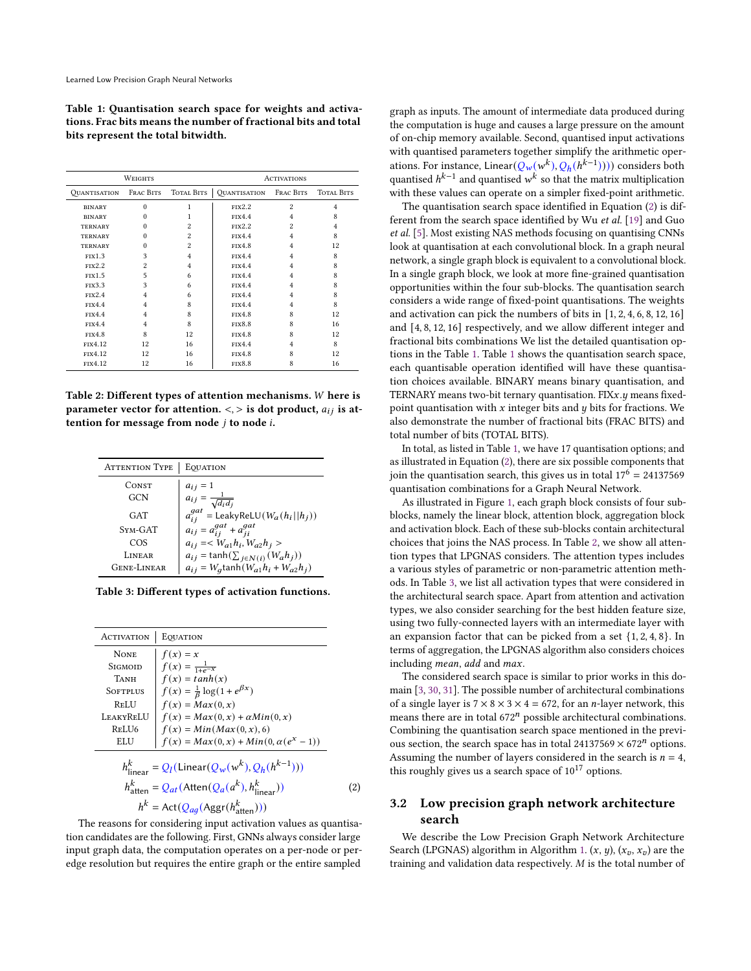<span id="page-2-2"></span>Table 1: Quantisation search space for weights and activations. Frac bits means the number of fractional bits and total bits represent the total bitwidth.

|                            | WEIGHTS                 |                  | <b>ACTIVATIONS</b>         |                |                   |  |
|----------------------------|-------------------------|------------------|----------------------------|----------------|-------------------|--|
| <i><b>OUANTISATION</b></i> | TOTAL BITS<br>Frac Bits |                  | <i><b>OUANTISATION</b></i> | Frac Bits      | <b>TOTAL BITS</b> |  |
| <b>BINARY</b>              | $\Omega$                | 1                | FIX2.2                     | $\overline{2}$ | $\overline{4}$    |  |
| <b>BINARY</b>              | $\Omega$                | 1                | FTX4.4                     | $\overline{4}$ | 8                 |  |
| <b>TERNARY</b>             | $\Omega$                | 2                | FTX2.2                     | $\mathfrak{D}$ | $\overline{4}$    |  |
| <b>TERNARY</b>             | $\Omega$                | 2                | <b>FIX4.4</b>              | $\overline{4}$ | 8                 |  |
| <b>TERNARY</b>             | $\Omega$                | $\overline{c}$   | <b>FIX4.8</b>              | 4              | 12                |  |
| FTX1.3                     | 3                       | 4                | FTX4.4                     | 4              | 8                 |  |
| FTX2.2                     | $\overline{2}$          | $\overline{4}$   | FTX4.4                     | $\overline{4}$ | 8                 |  |
| FTX1.5                     | 5                       | 6                | FTX4.4                     | $\overline{4}$ | 8                 |  |
| <b>FIX3.3</b>              | 3                       | 6                | FTX4.4                     | $\overline{4}$ | 8                 |  |
| FTX2.4                     | 4                       | 6                | FTX4.4                     | 4              | 8                 |  |
| FTX4.4                     | $\overline{4}$          | 8                | <b>FIX4.4</b>              | 4              | 8                 |  |
| FTX4.4                     | $\overline{4}$          | 8                | <b>FIX4.8</b>              | 8              | 12                |  |
| FTX4.4                     | $\overline{4}$          | $\boldsymbol{8}$ | <b>FIX8.8</b>              | 8              | 16                |  |
| FIX4.8                     | 8                       | 12               | <b>FIX4.8</b>              | 8              | 12                |  |
| FIX4.12                    | 12                      | 16               | <b>FIX4.4</b>              | $\overline{4}$ | 8                 |  |
| FIX4.12                    | 12                      | 16               | <b>FIX4.8</b>              | 8              | 12                |  |
| FIX4.12                    | 12                      | 16               | FIX8.8                     | 8              | 16                |  |

<span id="page-2-3"></span>Table 2: Different types of attention mechanisms.  $W$  here is parameter vector for attention.  $\langle \cdot, \cdot \rangle$  is dot product,  $a_{ij}$  is attention for message from node  $i$  to node  $i$ .

| <b>ATTENTION TYPE</b> | EQUATION                                                     |  |  |
|-----------------------|--------------------------------------------------------------|--|--|
| CONST                 | $a_{ij}=1$                                                   |  |  |
| GCN                   | $a_{ij} = \frac{1}{\sqrt{2}}$<br>$\overline{\sqrt{d_i d_j}}$ |  |  |
| GAT                   | $a_{ij}^{gat}$ = LeakyReLU( $W_a(h_i  h_j)$ )                |  |  |
| SYM-GAT               | $a_{ij} = a_{ij}^{gat} + a_{ii}^{gat}$                       |  |  |
| COS                   | $a_{ij} = $                                                  |  |  |
| LINEAR                | $a_{ij} = \tanh(\sum_{j \in N(i)} (W_a h_j))$                |  |  |
| <b>GENE-LINEAR</b>    | $a_{ij} = W_q \tanh(W_{a1}h_i + W_{a2}h_i)$                  |  |  |

<span id="page-2-4"></span>Table 3: Different types of activation functions.

| <b>ACTIVATION</b>                                                                 | EQUATION                                       |  |  |  |
|-----------------------------------------------------------------------------------|------------------------------------------------|--|--|--|
| <b>NONE</b>                                                                       | $f(x) = x$                                     |  |  |  |
| <b>SIGMOID</b>                                                                    | $f(x) = \frac{1}{1+e^{-x}}$                    |  |  |  |
| TANH                                                                              | $f(x) = tanh(x)$                               |  |  |  |
| <b>SOFTPLUS</b>                                                                   | $f(x) = \frac{1}{\beta} \log(1 + e^{\beta x})$ |  |  |  |
| ReLU                                                                              | $f(x) = Max(0, x)$                             |  |  |  |
| LEAKYRELU                                                                         | $f(x) = Max(0, x) + \alpha Min(0, x)$          |  |  |  |
| RELU6                                                                             | $f(x) = Min(Max(0, x), 6)$                     |  |  |  |
| ELU                                                                               | $f(x) = Max(0, x) + Min(0, \alpha(e^{x} - 1))$ |  |  |  |
| $h_{\text{linear}}^k = Q_l(\text{Linear}(Q_w(w^k), Q_h(h^{k-1})))$                |                                                |  |  |  |
| $h_{\text{atten}}^k = Q_{at}(\text{Atten}(Q_a(a^k), h_{\text{linear}}^k))$<br>(2) |                                                |  |  |  |
| $h^{k} = \text{Act}(Q_{aq}(\text{Aggr}(h_{\text{atten}}^{k})))$                   |                                                |  |  |  |

<span id="page-2-1"></span>The reasons for considering input activation values as quantisation candidates are the following. First, GNNs always consider large input graph data, the computation operates on a per-node or peredge resolution but requires the entire graph or the entire sampled

graph as inputs. The amount of intermediate data produced during the computation is huge and causes a large pressure on the amount of on-chip memory available. Second, quantised input activations with quantised parameters together simplify the arithmetic operations. For instance, Linear( $Q_w(w^k)$ ,  $Q_h(h^{k-1}$ )))) considers both quantised  $h^{k-1}$  and quantised  $w^k$  so that the matrix multiplication with these values can operate on a simpler fixed-point arithmetic.

The quantisation search space identified in Equation [\(2\)](#page-2-1) is different from the search space identified by Wu et al. [\[19\]](#page-6-9) and Guo et al. [\[5\]](#page-5-3). Most existing NAS methods focusing on quantising CNNs look at quantisation at each convolutional block. In a graph neural network, a single graph block is equivalent to a convolutional block. In a single graph block, we look at more fine-grained quantisation opportunities within the four sub-blocks. The quantisation search considers a wide range of fixed-point quantisations. The weights and activation can pick the numbers of bits in [1, 2, 4, 6, 8, 12, 16] and [4, 8, 12, 16] respectively, and we allow different integer and fractional bits combinations We list the detailed quantisation options in the Table [1.](#page-2-2) Table [1](#page-2-2) shows the quantisation search space, each quantisable operation identified will have these quantisation choices available. BINARY means binary quantisation, and TERNARY means two-bit ternary quantisation. FIX $x, y$  means fixedpoint quantisation with  $x$  integer bits and  $y$  bits for fractions. We also demonstrate the number of fractional bits (FRAC BITS) and total number of bits (TOTAL BITS).

In total, as listed in Table [1,](#page-2-2) we have 17 quantisation options; and as illustrated in Equation [\(2\)](#page-2-1), there are six possible components that join the quantisation search, this gives us in total  $17<sup>6</sup> = 24137569$ quantisation combinations for a Graph Neural Network.

As illustrated in Figure [1,](#page-3-0) each graph block consists of four subblocks, namely the linear block, attention block, aggregation block and activation block. Each of these sub-blocks contain architectural choices that joins the NAS process. In Table [2,](#page-2-3) we show all attention types that LPGNAS considers. The attention types includes a various styles of parametric or non-parametric attention methods. In Table [3,](#page-2-4) we list all activation types that were considered in the architectural search space. Apart from attention and activation types, we also consider searching for the best hidden feature size, using two fully-connected layers with an intermediate layer with an expansion factor that can be picked from a set {1, 2, 4, 8}. In terms of aggregation, the LPGNAS algorithm also considers choices including *mean*, add and *max*.

The considered search space is similar to prior works in this domain [\[3,](#page-5-6) [30,](#page-6-8) [31\]](#page-6-24). The possible number of architectural combinations of a single layer is  $7 \times 8 \times 3 \times 4 = 672$ , for an *n*-layer network, this means there are in total  $672<sup>n</sup>$  possible architectural combinations. Combining the quantisation search space mentioned in the previous section, the search space has in total 24137569  $\times$  672<sup>*n*</sup> options. Assuming the number of layers considered in the search is  $n = 4$ , this roughly gives us a search space of  $10^{17}$  options.

# <span id="page-2-0"></span>3.2 Low precision graph network architecture search

We describe the Low Precision Graph Network Architecture Search (LPGNAS) algorithm in Algorithm [1.](#page-3-1)  $(x, y)$ ,  $(x_v, x_v)$  are the training and validation data respectively.  $M$  is the total number of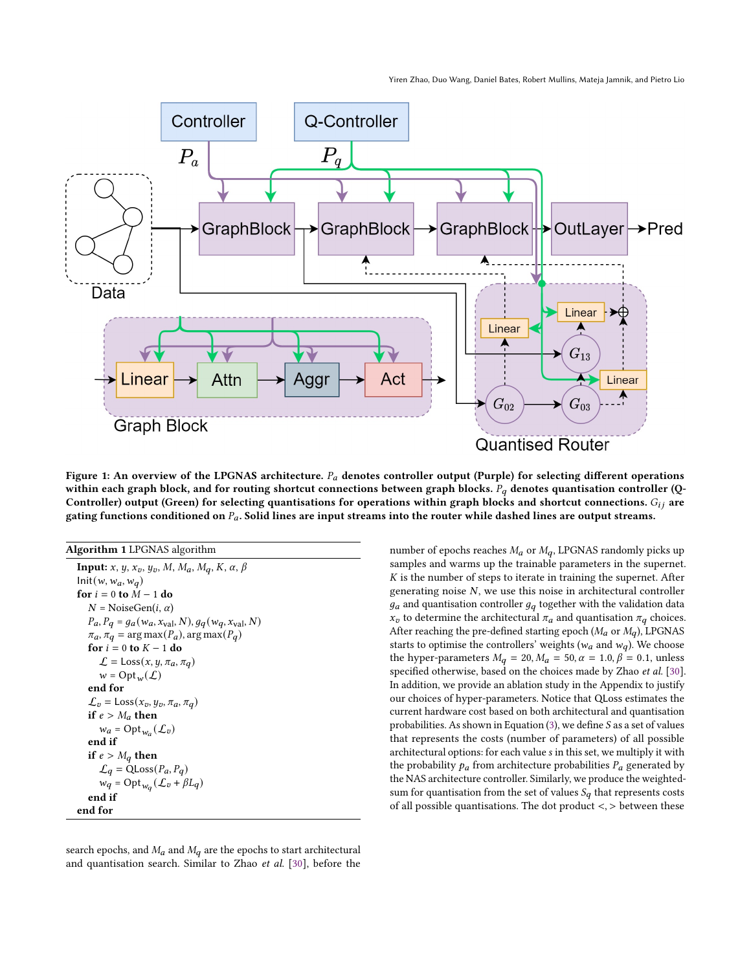<span id="page-3-0"></span>

Figure 1: An overview of the LPGNAS architecture.  $P_a$  denotes controller output (Purple) for selecting different operations within each graph block, and for routing shortcut connections between graph blocks.  $P_q$  denotes quantisation controller (Q-Controller) output (Green) for selecting quantisations for operations within graph blocks and shortcut connections.  $G_{ij}$  are gating functions conditioned on  $P_a$ . Solid lines are input streams into the router while dashed lines are output streams.

<span id="page-3-1"></span>

| <b>Algorithm 1</b> LPGNAS algorithm                           |
|---------------------------------------------------------------|
| <b>Input:</b> $x, y, x_v, y_v, M, M_a, M_q, K, \alpha, \beta$ |
| $Init(w, w_a, w_a)$                                           |
| for $i = 0$ to $M - 1$ do                                     |
| $N = \text{NoiseGen}(i, \alpha)$                              |
| $P_a, P_q = g_a(w_a, x_{val}, N), g_q(w_q, x_{val}, N)$       |
| $\pi_a$ , $\pi_q$ = arg max( $P_a$ ), arg max( $P_q$ )        |
| for $i = 0$ to $K - 1$ do                                     |
| $\mathcal{L} =$ Loss $(x, y, \pi_a, \pi_q)$                   |
| $w = \text{Opt}_{w}(\mathcal{L})$                             |
| end for                                                       |
| $\mathcal{L}_v = \text{Loss}(x_v, y_v, \pi_a, \pi_q)$         |
| if $e > M_a$ then                                             |
| $w_a = \mathrm{Opt}_{w_a}(\mathcal{L}_v)$                     |
| end if                                                        |
| if $e > M_q$ then                                             |
| $\mathcal{L}_q = \text{QLoss}(P_a, P_q)$                      |
| $w_q = \mathrm{Opt}_{w_q}(\mathcal{L}_v + \beta L_q)$         |
| end if                                                        |
| end for                                                       |

search epochs, and  $M_a$  and  $M_q$  are the epochs to start architectural and quantisation search. Similar to Zhao et al. [\[30\]](#page-6-8), before the

number of epochs reaches  $M_a$  or  $M_q$ , LPGNAS randomly picks up samples and warms up the trainable parameters in the supernet.  $K$  is the number of steps to iterate in training the supernet. After generating noise  $N$ , we use this noise in architectural controller  $g_a$  and quantisation controller  $g_q$  together with the validation data  $x_v$  to determine the architectural  $\pi_a$  and quantisation  $\pi_q$  choices. After reaching the pre-defined starting epoch ( $M_a$  or  $M_q$ ), LPGNAS starts to optimise the controllers' weights ( $w_a$  and  $w_q$ ). We choose the hyper-parameters  $M_q = 20$ ,  $M_a = 50$ ,  $\alpha = 1.0$ ,  $\beta = 0.1$ , unless specified otherwise, based on the choices made by Zhao et al. [\[30\]](#page-6-8). In addition, we provide an ablation study in the Appendix to justify our choices of hyper-parameters. Notice that QLoss estimates the current hardware cost based on both architectural and quantisation probabilities. As shown in Equation [\(3\)](#page-4-0), we define  $S$  as a set of values that represents the costs (number of parameters) of all possible architectural options: for each value s in this set, we multiply it with the probability  $p_a$  from architecture probabilities  $P_a$  generated by the NAS architecture controller. Similarly, we produce the weightedsum for quantisation from the set of values  $S_q$  that represents costs of all possible quantisations. The dot product  $\lt$ ,  $>$  between these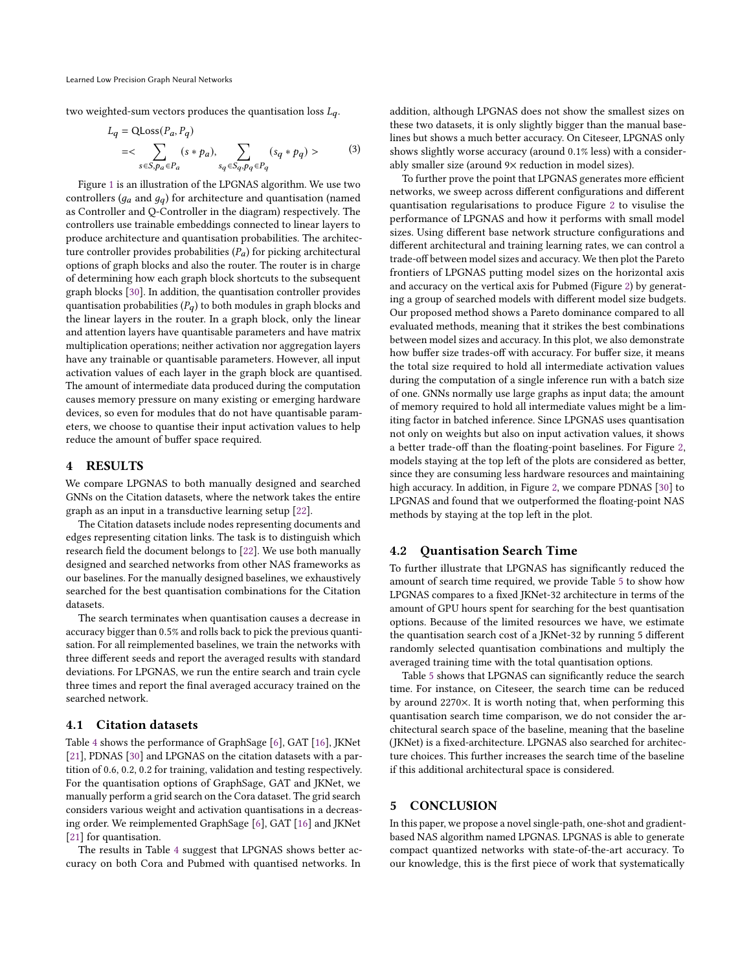<span id="page-4-0"></span>two weighted-sum vectors produces the quantisation loss  $L_q$ .

$$
L_q = QLoss(P_a, P_q)
$$
  
=
$$
\sum_{s \in S, p_a \in P_a} (s * p_a), \sum_{s_q \in S_q, p_q \in P_q} (s_q * p_q) >
$$
 (3)

Figure [1](#page-3-0) is an illustration of the LPGNAS algorithm. We use two controllers ( $g_a$  and  $g_a$ ) for architecture and quantisation (named as Controller and Q-Controller in the diagram) respectively. The controllers use trainable embeddings connected to linear layers to produce architecture and quantisation probabilities. The architecture controller provides probabilities  $(P_a)$  for picking architectural options of graph blocks and also the router. The router is in charge of determining how each graph block shortcuts to the subsequent graph blocks [\[30\]](#page-6-8). In addition, the quantisation controller provides quantisation probabilities  $(P_a)$  to both modules in graph blocks and the linear layers in the router. In a graph block, only the linear and attention layers have quantisable parameters and have matrix multiplication operations; neither activation nor aggregation layers have any trainable or quantisable parameters. However, all input activation values of each layer in the graph block are quantised. The amount of intermediate data produced during the computation causes memory pressure on many existing or emerging hardware devices, so even for modules that do not have quantisable parameters, we choose to quantise their input activation values to help reduce the amount of buffer space required.

### 4 RESULTS

We compare LPGNAS to both manually designed and searched GNNs on the Citation datasets, where the network takes the entire graph as an input in a transductive learning setup [\[22\]](#page-6-26).

The Citation datasets include nodes representing documents and edges representing citation links. The task is to distinguish which research field the document belongs to [\[22\]](#page-6-26). We use both manually designed and searched networks from other NAS frameworks as our baselines. For the manually designed baselines, we exhaustively searched for the best quantisation combinations for the Citation datasets.

The search terminates when quantisation causes a decrease in accuracy bigger than 0.5% and rolls back to pick the previous quantisation. For all reimplemented baselines, we train the networks with three different seeds and report the averaged results with standard deviations. For LPGNAS, we run the entire search and train cycle three times and report the final averaged accuracy trained on the searched network.

## 4.1 Citation datasets

Table [4](#page-5-7) shows the performance of GraphSage [\[6\]](#page-5-0), GAT [\[16\]](#page-6-15), JKNet [\[21\]](#page-6-23), PDNAS [\[30\]](#page-6-8) and LPGNAS on the citation datasets with a partition of 0.6, 0.2, 0.2 for training, validation and testing respectively. For the quantisation options of GraphSage, GAT and JKNet, we manually perform a grid search on the Cora dataset. The grid search considers various weight and activation quantisations in a decreasing order. We reimplemented GraphSage [\[6\]](#page-5-0), GAT [\[16\]](#page-6-15) and JKNet [\[21\]](#page-6-23) for quantisation.

The results in Table [4](#page-5-7) suggest that LPGNAS shows better accuracy on both Cora and Pubmed with quantised networks. In

addition, although LPGNAS does not show the smallest sizes on these two datasets, it is only slightly bigger than the manual baselines but shows a much better accuracy. On Citeseer, LPGNAS only shows slightly worse accuracy (around 0.1% less) with a considerably smaller size (around 9× reduction in model sizes).

To further prove the point that LPGNAS generates more efficient networks, we sweep across different configurations and different quantisation regularisations to produce Figure [2](#page-5-8) to visulise the performance of LPGNAS and how it performs with small model sizes. Using different base network structure configurations and different architectural and training learning rates, we can control a trade-off between model sizes and accuracy. We then plot the Pareto frontiers of LPGNAS putting model sizes on the horizontal axis and accuracy on the vertical axis for Pubmed (Figure [2\)](#page-5-8) by generating a group of searched models with different model size budgets. Our proposed method shows a Pareto dominance compared to all evaluated methods, meaning that it strikes the best combinations between model sizes and accuracy. In this plot, we also demonstrate how buffer size trades-off with accuracy. For buffer size, it means the total size required to hold all intermediate activation values during the computation of a single inference run with a batch size of one. GNNs normally use large graphs as input data; the amount of memory required to hold all intermediate values might be a limiting factor in batched inference. Since LPGNAS uses quantisation not only on weights but also on input activation values, it shows a better trade-off than the floating-point baselines. For Figure [2,](#page-5-8) models staying at the top left of the plots are considered as better, since they are consuming less hardware resources and maintaining high accuracy. In addition, in Figure [2,](#page-5-8) we compare PDNAS [\[30\]](#page-6-8) to LPGNAS and found that we outperformed the floating-point NAS methods by staying at the top left in the plot.

# 4.2 Quantisation Search Time

To further illustrate that LPGNAS has significantly reduced the amount of search time required, we provide Table [5](#page-5-9) to show how LPGNAS compares to a fixed JKNet-32 architecture in terms of the amount of GPU hours spent for searching for the best quantisation options. Because of the limited resources we have, we estimate the quantisation search cost of a JKNet-32 by running 5 different randomly selected quantisation combinations and multiply the averaged training time with the total quantisation options.

Table [5](#page-5-9) shows that LPGNAS can significantly reduce the search time. For instance, on Citeseer, the search time can be reduced by around 2270×. It is worth noting that, when performing this quantisation search time comparison, we do not consider the architectural search space of the baseline, meaning that the baseline (JKNet) is a fixed-architecture. LPGNAS also searched for architecture choices. This further increases the search time of the baseline if this additional architectural space is considered.

# 5 CONCLUSION

In this paper, we propose a novel single-path, one-shot and gradientbased NAS algorithm named LPGNAS. LPGNAS is able to generate compact quantized networks with state-of-the-art accuracy. To our knowledge, this is the first piece of work that systematically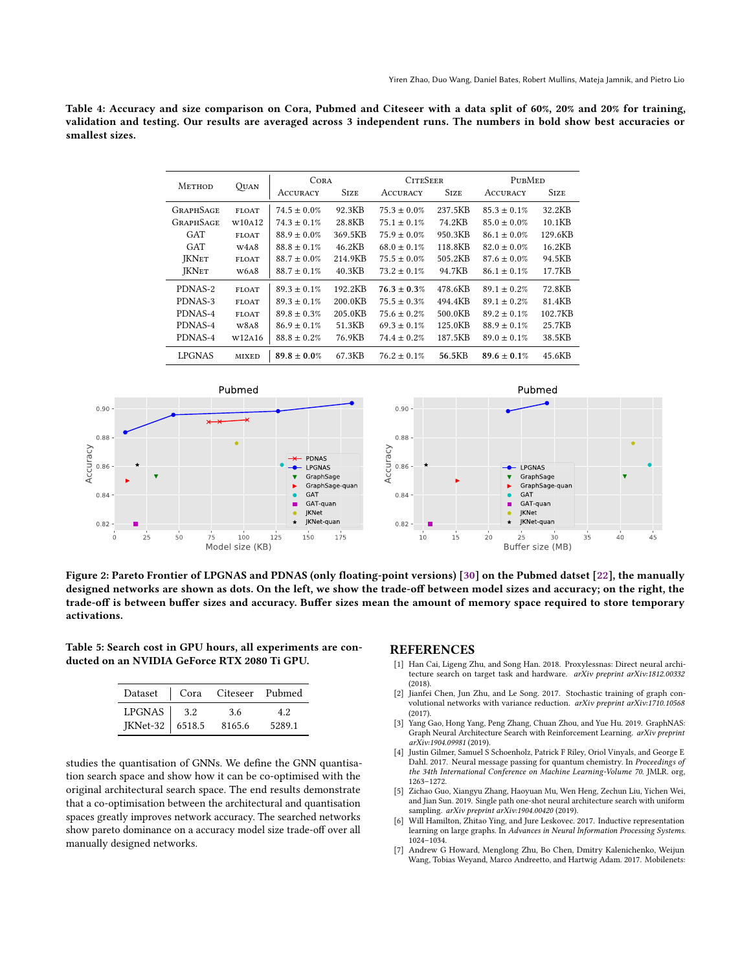<span id="page-5-7"></span>Table 4: Accuracy and size comparison on Cora, Pubmed and Citeseer with a data split of 60%, 20% and 20% for training, validation and testing. Our results are averaged across 3 independent runs. The numbers in bold show best accuracies or smallest sizes.

| <b>METHOD</b><br>QUAN |              | <b>CORA</b>      | <b>CITESEER</b> |                  | PUBMED      |                  |             |
|-----------------------|--------------|------------------|-----------------|------------------|-------------|------------------|-------------|
|                       |              | <b>ACCURACY</b>  | <b>STZE</b>     | <b>ACCURACY</b>  | <b>STZE</b> | <b>ACCURACY</b>  | <b>SIZE</b> |
| <b>GRAPHSAGE</b>      | <b>FLOAT</b> | $74.5 \pm 0.0\%$ | 92.3KB          | $75.3 \pm 0.0\%$ | 237.5KB     | $85.3 \pm 0.1\%$ | 32.2KB      |
| <b>GRAPHSAGE</b>      | W10A12       | $74.3 \pm 0.1\%$ | 28.8KB          | $75.1 \pm 0.1\%$ | 74.2KB      | $85.0 \pm 0.0\%$ | 10.1KB      |
| GAT                   | <b>FLOAT</b> | $88.9 \pm 0.0\%$ | 369.5KB         | $75.9 \pm 0.0\%$ | 950.3KB     | $86.1 \pm 0.0\%$ | 129.6KB     |
| GAT                   | W4A8         | $88.8 \pm 0.1\%$ | 46.2KB          | $68.0 \pm 0.1\%$ | 118.8KB     | $82.0 \pm 0.0\%$ | 16.2KB      |
| <b>JKNET</b>          | <b>FLOAT</b> | $88.7 \pm 0.0\%$ | 214.9KB         | $75.5 \pm 0.0\%$ | 505.2KB     | $87.6 \pm 0.0\%$ | 94.5KB      |
| <b>JKNET</b>          | W6A8         | $88.7 \pm 0.1\%$ | 40.3KB          | $73.2 \pm 0.1\%$ | 94.7KB      | $86.1 \pm 0.1\%$ | 17.7KB      |
| PDNAS-2               | <b>FLOAT</b> | $89.3 \pm 0.1\%$ | 192.2KB         | $76.3 \pm 0.3\%$ | 478.6KB     | $89.1 \pm 0.2\%$ | 72.8KB      |
| PDNAS-3               | <b>FLOAT</b> | $89.3 \pm 0.1\%$ | 200.0KB         | $75.5 \pm 0.3\%$ | 494.4KB     | $89.1 \pm 0.2\%$ | 81.4KB      |
| PDNAS-4               | <b>FLOAT</b> | $89.8 \pm 0.3\%$ | 205.0KB         | $75.6 \pm 0.2\%$ | 500.0KB     | $89.2 \pm 0.1\%$ | 102.7KB     |
| PDNAS-4               | W8A8         | $86.9 \pm 0.1\%$ | 51.3KB          | $69.3 \pm 0.1\%$ | 125.0KB     | $88.9 \pm 0.1\%$ | 25.7KB      |
| PDNAS-4               | W12A16       | $88.8 \pm 0.2\%$ | 76.9KB          | $74.4 \pm 0.2\%$ | 187.5KB     | $89.0 \pm 0.1\%$ | 38.5KB      |
| <b>LPGNAS</b>         | MIXED        | $89.8 \pm 0.0\%$ | 67.3KB          | $76.2 \pm 0.1\%$ | 56.5KB      | $89.6 \pm 0.1\%$ | 45.6KB      |

<span id="page-5-8"></span>

Figure 2: Pareto Frontier of LPGNAS and PDNAS (only floating-point versions) [\[30\]](#page-6-8) on the Pubmed datset [\[22\]](#page-6-26), the manually designed networks are shown as dots. On the left, we show the trade-off between model sizes and accuracy; on the right, the trade-off is between buffer sizes and accuracy. Buffer sizes mean the amount of memory space required to store temporary activations.

<span id="page-5-9"></span>Table 5: Search cost in GPU hours, all experiments are conducted on an NVIDIA GeForce RTX 2080 Ti GPU.

|                                                             | Dataset   Cora Citeseer Pubmed |        |
|-------------------------------------------------------------|--------------------------------|--------|
|                                                             | 3.6                            | 4.2    |
| LPGNAS $\begin{array}{ l } 3.2 \end{array}$ JKNet-32 6518.5 | 8165.6                         | 5289.1 |

studies the quantisation of GNNs. We define the GNN quantisation search space and show how it can be co-optimised with the original architectural search space. The end results demonstrate that a co-optimisation between the architectural and quantisation spaces greatly improves network accuracy. The searched networks show pareto dominance on a accuracy model size trade-off over all manually designed networks.

#### REFERENCES

- <span id="page-5-2"></span>[1] Han Cai, Ligeng Zhu, and Song Han. 2018. Proxylessnas: Direct neural architecture search on target task and hardware. arXiv preprint arXiv:1812.00332 (2018).
- <span id="page-5-5"></span>[2] Jianfei Chen, Jun Zhu, and Le Song. 2017. Stochastic training of graph convolutional networks with variance reduction. arXiv preprint arXiv:1710.10568 (2017).
- <span id="page-5-6"></span>[3] Yang Gao, Hong Yang, Peng Zhang, Chuan Zhou, and Yue Hu. 2019. GraphNAS: Graph Neural Architecture Search with Reinforcement Learning. arXiv preprint arXiv:1904.09981 (2019).
- <span id="page-5-4"></span>[4] Justin Gilmer, Samuel S Schoenholz, Patrick F Riley, Oriol Vinyals, and George E Dahl. 2017. Neural message passing for quantum chemistry. In Proceedings of the 34th International Conference on Machine Learning-Volume 70. JMLR. org, 1263–1272.
- <span id="page-5-3"></span>[5] Zichao Guo, Xiangyu Zhang, Haoyuan Mu, Wen Heng, Zechun Liu, Yichen Wei, and Jian Sun. 2019. Single path one-shot neural architecture search with uniform sampling. arXiv preprint arXiv:1904.00420 (2019).
- <span id="page-5-0"></span>[6] Will Hamilton, Zhitao Ying, and Jure Leskovec. 2017. Inductive representation learning on large graphs. In Advances in Neural Information Processing Systems. 1024–1034.
- <span id="page-5-1"></span>[7] Andrew G Howard, Menglong Zhu, Bo Chen, Dmitry Kalenichenko, Weijun Wang, Tobias Weyand, Marco Andreetto, and Hartwig Adam. 2017. Mobilenets: